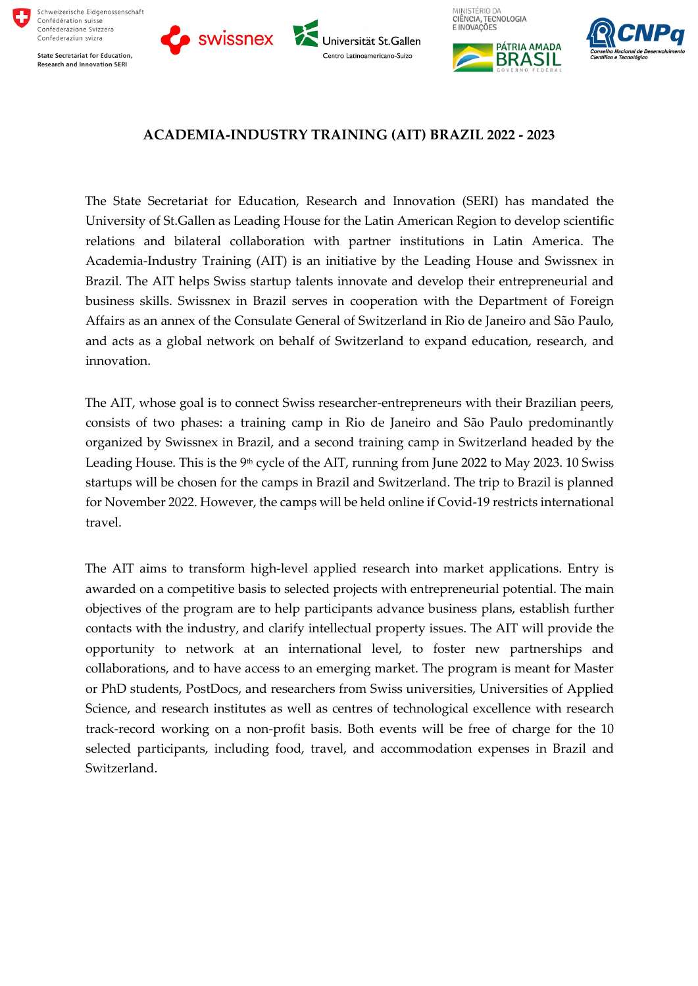

**State Secretariat for Education, Research and Innovation SERI** 







MINISTÉRIO DA



# **ACADEMIA-INDUSTRY TRAINING (AIT) BRAZIL 2022 - 2023**

The State Secretariat for Education, Research and Innovation (SERI) has mandated the University of St.Gallen as Leading House for the Latin American Region to develop scientific relations and bilateral collaboration with partner institutions in Latin America. The Academia-Industry Training (AIT) is an initiative by the Leading House and Swissnex in Brazil. The AIT helps Swiss startup talents innovate and develop their entrepreneurial and business skills. Swissnex in Brazil serves in cooperation with the Department of Foreign Affairs as an annex of the Consulate General of Switzerland in Rio de Janeiro and São Paulo, and acts as a global network on behalf of Switzerland to expand education, research, and innovation.

The AIT, whose goal is to connect Swiss researcher-entrepreneurs with their Brazilian peers, consists of two phases: a training camp in Rio de Janeiro and São Paulo predominantly organized by Swissnex in Brazil, and a second training camp in Switzerland headed by the Leading House. This is the 9<sup>th</sup> cycle of the AIT, running from June 2022 to May 2023. 10 Swiss startups will be chosen for the camps in Brazil and Switzerland. The trip to Brazil is planned for November 2022. However, the camps will be held online if Covid-19 restricts international travel.

The AIT aims to transform high-level applied research into market applications. Entry is awarded on a competitive basis to selected projects with entrepreneurial potential. The main objectives of the program are to help participants advance business plans, establish further contacts with the industry, and clarify intellectual property issues. The AIT will provide the opportunity to network at an international level, to foster new partnerships and collaborations, and to have access to an emerging market. The program is meant for Master or PhD students, PostDocs, and researchers from Swiss universities, Universities of Applied Science, and research institutes as well as centres of technological excellence with research track-record working on a non-profit basis. Both events will be free of charge for the 10 selected participants, including food, travel, and accommodation expenses in Brazil and Switzerland.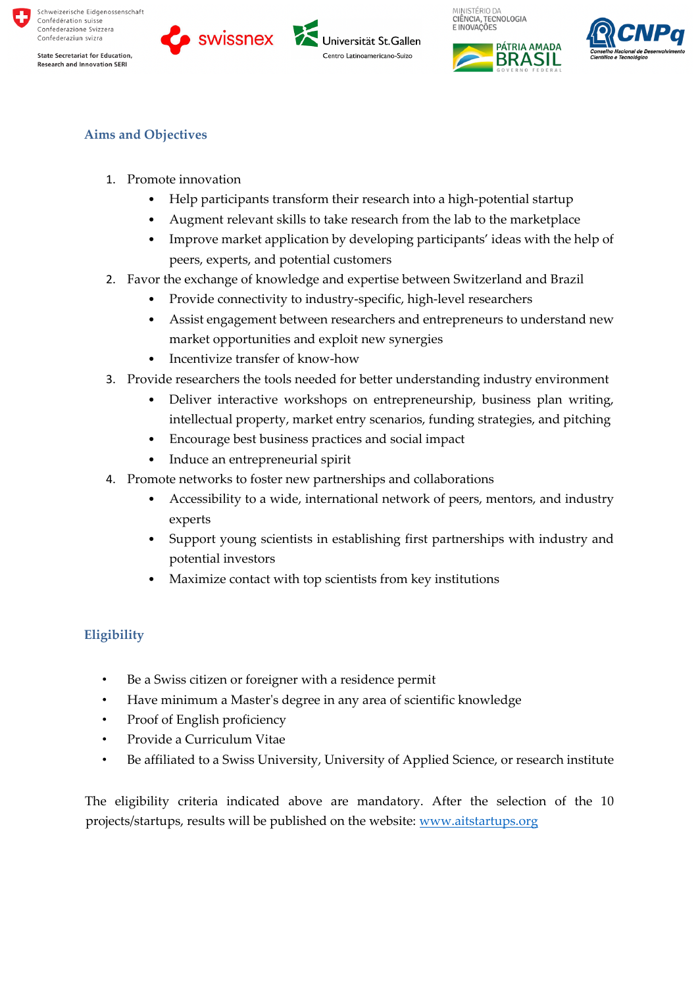











# **Aims and Objectives**

- 1. Promote innovation
	- Help participants transform their research into a high-potential startup
	- Augment relevant skills to take research from the lab to the marketplace
	- Improve market application by developing participants' ideas with the help of peers, experts, and potential customers
- 2. Favor the exchange of knowledge and expertise between Switzerland and Brazil
	- Provide connectivity to industry-specific, high-level researchers
	- Assist engagement between researchers and entrepreneurs to understand new market opportunities and exploit new synergies
	- Incentivize transfer of know-how
- 3. Provide researchers the tools needed for better understanding industry environment
	- Deliver interactive workshops on entrepreneurship, business plan writing, intellectual property, market entry scenarios, funding strategies, and pitching
	- Encourage best business practices and social impact
	- Induce an entrepreneurial spirit
- 4. Promote networks to foster new partnerships and collaborations
	- Accessibility to a wide, international network of peers, mentors, and industry experts
	- Support young scientists in establishing first partnerships with industry and potential investors
	- Maximize contact with top scientists from key institutions

## **Eligibility**

- Be a Swiss citizen or foreigner with a residence permit
- Have minimum a Master's degree in any area of scientific knowledge
- Proof of English proficiency
- Provide a Curriculum Vitae
- Be affiliated to a Swiss University, University of Applied Science, or research institute

The eligibility criteria indicated above are mandatory. After the selection of the 10 projects/startups, results will be published on the website: www.aitstartups.org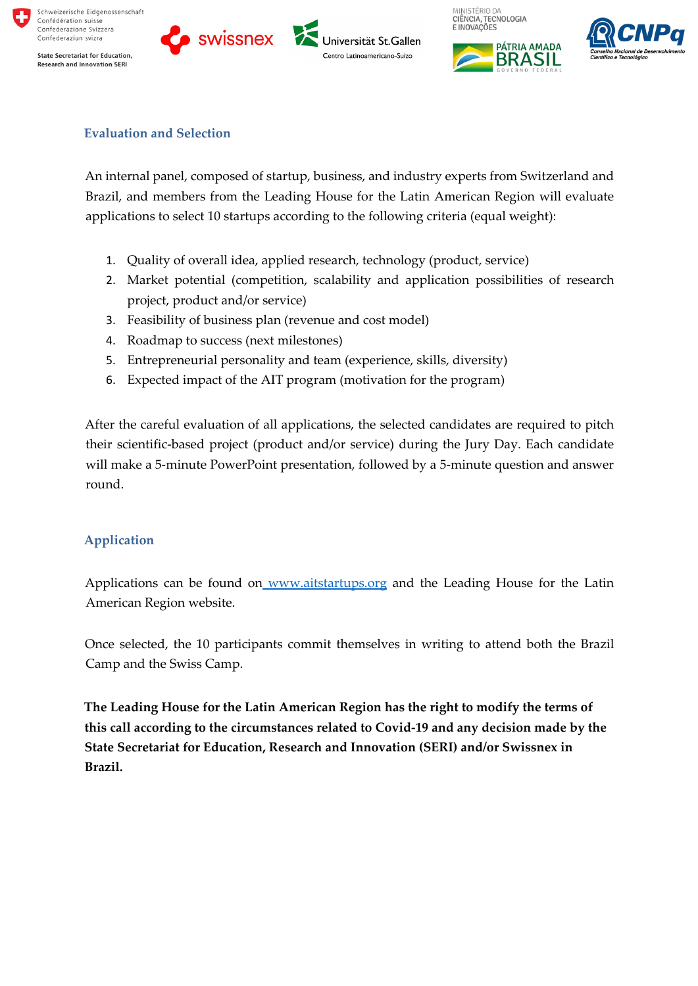

















# **Evaluation and Selection**

An internal panel, composed of startup, business, and industry experts from Switzerland and Brazil, and members from the Leading House for the Latin American Region will evaluate applications to select 10 startups according to the following criteria (equal weight):

- 1. Quality of overall idea, applied research, technology (product, service)
- 2. Market potential (competition, scalability and application possibilities of research project, product and/or service)
- 3. Feasibility of business plan (revenue and cost model)
- 4. Roadmap to success (next milestones)
- 5. Entrepreneurial personality and team (experience, skills, diversity)
- 6. Expected impact of the AIT program (motivation for the program)

After the careful evaluation of all applications, the selected candidates are required to pitch their scientific-based project (product and/or service) during the Jury Day. Each candidate will make a 5-minute PowerPoint presentation, followed by a 5-minute question and answer round.

## **Application**

Applications can be found on www.aitstartups.org and the Leading House for the Latin American Region website.

Once selected, the 10 participants commit themselves in writing to attend both the Brazil Camp and the Swiss Camp.

**The Leading House for the Latin American Region has the right to modify the terms of this call according to the circumstances related to Covid-19 and any decision made by the State Secretariat for Education, Research and Innovation (SERI) and/or Swissnex in Brazil.**